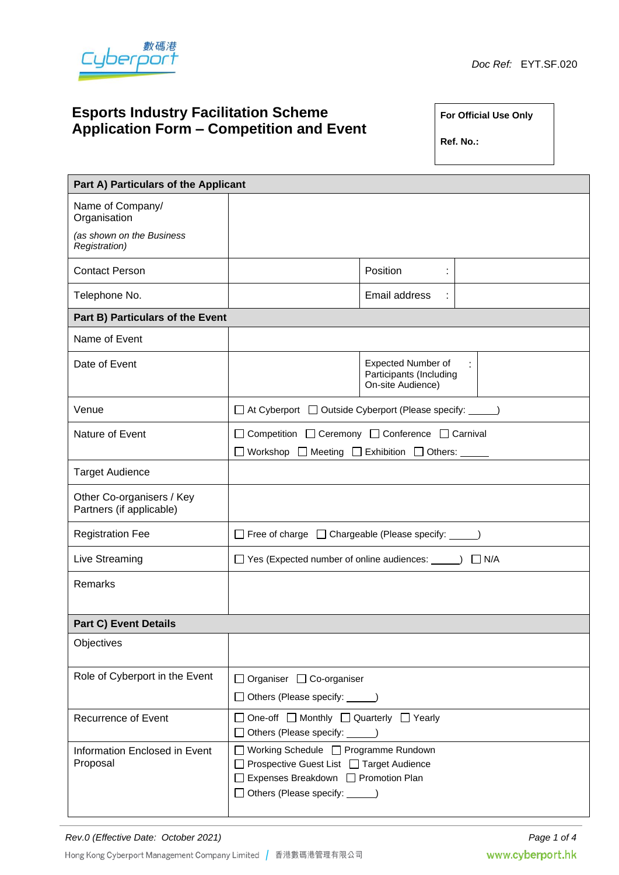

# **Esports Industry Facilitation Scheme Application Form – Competition and Event**

**For Official Use Only**

**Ref. No.:**

| Part A) Particulars of the Applicant                  |                                                                                                                                                                   |                                                                    |  |  |  |  |
|-------------------------------------------------------|-------------------------------------------------------------------------------------------------------------------------------------------------------------------|--------------------------------------------------------------------|--|--|--|--|
| Name of Company/<br>Organisation                      |                                                                                                                                                                   |                                                                    |  |  |  |  |
| (as shown on the Business<br>Registration)            |                                                                                                                                                                   |                                                                    |  |  |  |  |
| <b>Contact Person</b>                                 |                                                                                                                                                                   | Position<br>t.                                                     |  |  |  |  |
| Telephone No.                                         |                                                                                                                                                                   | Email address                                                      |  |  |  |  |
| Part B) Particulars of the Event                      |                                                                                                                                                                   |                                                                    |  |  |  |  |
| Name of Event                                         |                                                                                                                                                                   |                                                                    |  |  |  |  |
| Date of Event                                         |                                                                                                                                                                   | Expected Number of<br>Participants (Including<br>On-site Audience) |  |  |  |  |
| Venue                                                 | □ At Cyberport □ Outside Cyberport (Please specify: ______)                                                                                                       |                                                                    |  |  |  |  |
| Nature of Event                                       | □ Competition □ Ceremony □ Conference □ Carnival                                                                                                                  |                                                                    |  |  |  |  |
|                                                       | $\mathsf{L}$                                                                                                                                                      |                                                                    |  |  |  |  |
| <b>Target Audience</b>                                |                                                                                                                                                                   |                                                                    |  |  |  |  |
| Other Co-organisers / Key<br>Partners (if applicable) |                                                                                                                                                                   |                                                                    |  |  |  |  |
| <b>Registration Fee</b>                               | □ Free of charge □ Chargeable (Please specify: _____)                                                                                                             |                                                                    |  |  |  |  |
| Live Streaming                                        | $\Box$ N/A                                                                                                                                                        |                                                                    |  |  |  |  |
| Remarks                                               |                                                                                                                                                                   |                                                                    |  |  |  |  |
| <b>Part C) Event Details</b>                          |                                                                                                                                                                   |                                                                    |  |  |  |  |
| Objectives                                            |                                                                                                                                                                   |                                                                    |  |  |  |  |
| Role of Cyberport in the Event                        | □ Organiser □ Co-organiser                                                                                                                                        |                                                                    |  |  |  |  |
|                                                       | □ Others (Please specify: <u></u> )                                                                                                                               |                                                                    |  |  |  |  |
| <b>Recurrence of Event</b>                            | $\Box$ One-off $\Box$ Monthly $\Box$ Quarterly $\Box$ Yearly<br>□ Others (Please specify: <u></u> )                                                               |                                                                    |  |  |  |  |
| Information Enclosed in Event<br>Proposal             | □ Working Schedule □ Programme Rundown<br>□ Prospective Guest List □ Target Audience<br>□ Expenses Breakdown □ Promotion Plan<br>□ Others (Please specify: _____) |                                                                    |  |  |  |  |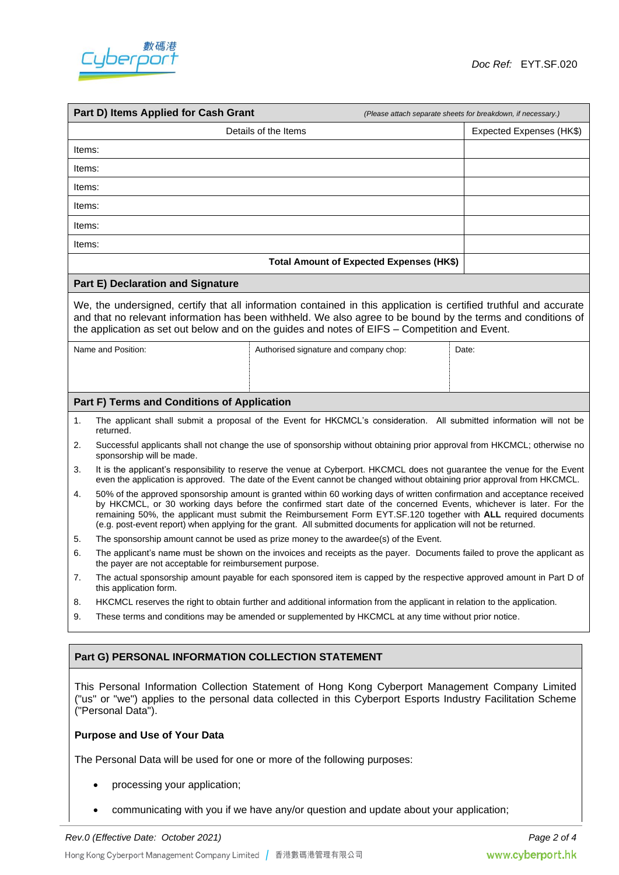

| Part D) Items Applied for Cash Grant<br>(Please attach separate sheets for breakdown, if necessary.)                                                                                                                                                                                                                                |                                                                                                                                                                                                                                                                                                                                                                                                                                                                                          |                                          |                          |  |  |  |
|-------------------------------------------------------------------------------------------------------------------------------------------------------------------------------------------------------------------------------------------------------------------------------------------------------------------------------------|------------------------------------------------------------------------------------------------------------------------------------------------------------------------------------------------------------------------------------------------------------------------------------------------------------------------------------------------------------------------------------------------------------------------------------------------------------------------------------------|------------------------------------------|--------------------------|--|--|--|
| Details of the Items                                                                                                                                                                                                                                                                                                                |                                                                                                                                                                                                                                                                                                                                                                                                                                                                                          |                                          | Expected Expenses (HK\$) |  |  |  |
| Items:                                                                                                                                                                                                                                                                                                                              |                                                                                                                                                                                                                                                                                                                                                                                                                                                                                          |                                          |                          |  |  |  |
| Items:                                                                                                                                                                                                                                                                                                                              |                                                                                                                                                                                                                                                                                                                                                                                                                                                                                          |                                          |                          |  |  |  |
| Items:                                                                                                                                                                                                                                                                                                                              |                                                                                                                                                                                                                                                                                                                                                                                                                                                                                          |                                          |                          |  |  |  |
|                                                                                                                                                                                                                                                                                                                                     | Items:                                                                                                                                                                                                                                                                                                                                                                                                                                                                                   |                                          |                          |  |  |  |
| Items:                                                                                                                                                                                                                                                                                                                              |                                                                                                                                                                                                                                                                                                                                                                                                                                                                                          |                                          |                          |  |  |  |
| Items:                                                                                                                                                                                                                                                                                                                              |                                                                                                                                                                                                                                                                                                                                                                                                                                                                                          |                                          |                          |  |  |  |
|                                                                                                                                                                                                                                                                                                                                     |                                                                                                                                                                                                                                                                                                                                                                                                                                                                                          | Total Amount of Expected Expenses (HK\$) |                          |  |  |  |
|                                                                                                                                                                                                                                                                                                                                     | <b>Part E) Declaration and Signature</b>                                                                                                                                                                                                                                                                                                                                                                                                                                                 |                                          |                          |  |  |  |
| We, the undersigned, certify that all information contained in this application is certified truthful and accurate<br>and that no relevant information has been withheld. We also agree to be bound by the terms and conditions of<br>the application as set out below and on the guides and notes of EIFS - Competition and Event. |                                                                                                                                                                                                                                                                                                                                                                                                                                                                                          |                                          |                          |  |  |  |
|                                                                                                                                                                                                                                                                                                                                     | Name and Position:                                                                                                                                                                                                                                                                                                                                                                                                                                                                       | Authorised signature and company chop:   | Date:                    |  |  |  |
|                                                                                                                                                                                                                                                                                                                                     | Part F) Terms and Conditions of Application                                                                                                                                                                                                                                                                                                                                                                                                                                              |                                          |                          |  |  |  |
| 1.                                                                                                                                                                                                                                                                                                                                  | The applicant shall submit a proposal of the Event for HKCMCL's consideration. All submitted information will not be<br>returned.                                                                                                                                                                                                                                                                                                                                                        |                                          |                          |  |  |  |
| 2.                                                                                                                                                                                                                                                                                                                                  | Successful applicants shall not change the use of sponsorship without obtaining prior approval from HKCMCL; otherwise no<br>sponsorship will be made.                                                                                                                                                                                                                                                                                                                                    |                                          |                          |  |  |  |
| 3.                                                                                                                                                                                                                                                                                                                                  | It is the applicant's responsibility to reserve the venue at Cyberport. HKCMCL does not guarantee the venue for the Event<br>even the application is approved. The date of the Event cannot be changed without obtaining prior approval from HKCMCL.                                                                                                                                                                                                                                     |                                          |                          |  |  |  |
| 4.                                                                                                                                                                                                                                                                                                                                  | 50% of the approved sponsorship amount is granted within 60 working days of written confirmation and acceptance received<br>by HKCMCL, or 30 working days before the confirmed start date of the concerned Events, whichever is later. For the<br>remaining 50%, the applicant must submit the Reimbursement Form EYT.SF.120 together with ALL required documents<br>(e.g. post-event report) when applying for the grant. All submitted documents for application will not be returned. |                                          |                          |  |  |  |
| 5.                                                                                                                                                                                                                                                                                                                                  | The sponsorship amount cannot be used as prize money to the awardee(s) of the Event.                                                                                                                                                                                                                                                                                                                                                                                                     |                                          |                          |  |  |  |
| 6.                                                                                                                                                                                                                                                                                                                                  | The applicant's name must be shown on the invoices and receipts as the payer. Documents failed to prove the applicant as<br>the payer are not acceptable for reimbursement purpose.                                                                                                                                                                                                                                                                                                      |                                          |                          |  |  |  |
| 7.                                                                                                                                                                                                                                                                                                                                  | The actual sponsorship amount payable for each sponsored item is capped by the respective approved amount in Part D of<br>this application form.                                                                                                                                                                                                                                                                                                                                         |                                          |                          |  |  |  |
| 8.                                                                                                                                                                                                                                                                                                                                  | HKCMCL reserves the right to obtain further and additional information from the applicant in relation to the application.                                                                                                                                                                                                                                                                                                                                                                |                                          |                          |  |  |  |
| 9.                                                                                                                                                                                                                                                                                                                                  | These terms and conditions may be amended or supplemented by HKCMCL at any time without prior notice.                                                                                                                                                                                                                                                                                                                                                                                    |                                          |                          |  |  |  |
|                                                                                                                                                                                                                                                                                                                                     |                                                                                                                                                                                                                                                                                                                                                                                                                                                                                          |                                          |                          |  |  |  |
| Part G) PERSONAL INFORMATION COLLECTION STATEMENT                                                                                                                                                                                                                                                                                   |                                                                                                                                                                                                                                                                                                                                                                                                                                                                                          |                                          |                          |  |  |  |
| This Personal Information Collection Statement of Hong Kong Cyberport Management Company Limited<br>("us" or "we") applies to the personal data collected in this Cyberport Esports Industry Facilitation Scheme<br>("Personal Data").                                                                                              |                                                                                                                                                                                                                                                                                                                                                                                                                                                                                          |                                          |                          |  |  |  |
| <b>Purpose and Use of Your Data</b>                                                                                                                                                                                                                                                                                                 |                                                                                                                                                                                                                                                                                                                                                                                                                                                                                          |                                          |                          |  |  |  |
| The Personal Data will be used for one or more of the following purposes:                                                                                                                                                                                                                                                           |                                                                                                                                                                                                                                                                                                                                                                                                                                                                                          |                                          |                          |  |  |  |

- processing your application;
- communicating with you if we have any/or question and update about your application;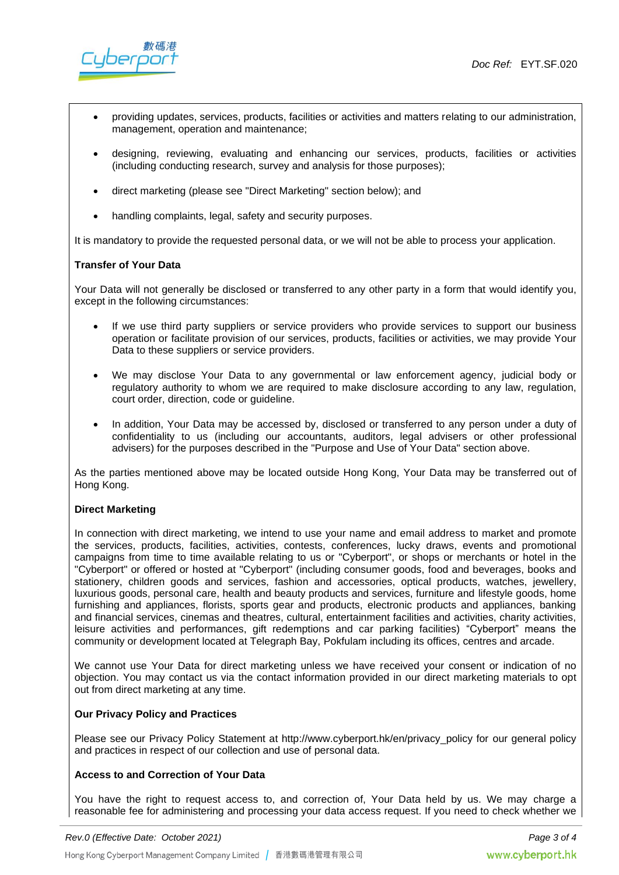

- providing updates, services, products, facilities or activities and matters relating to our administration, management, operation and maintenance;
- designing, reviewing, evaluating and enhancing our services, products, facilities or activities (including conducting research, survey and analysis for those purposes);
- direct marketing (please see "Direct Marketing" section below); and
- handling complaints, legal, safety and security purposes.

It is mandatory to provide the requested personal data, or we will not be able to process your application.

### **Transfer of Your Data**

Your Data will not generally be disclosed or transferred to any other party in a form that would identify you, except in the following circumstances:

- If we use third party suppliers or service providers who provide services to support our business operation or facilitate provision of our services, products, facilities or activities, we may provide Your Data to these suppliers or service providers.
- We may disclose Your Data to any governmental or law enforcement agency, judicial body or regulatory authority to whom we are required to make disclosure according to any law, regulation, court order, direction, code or guideline.
- In addition, Your Data may be accessed by, disclosed or transferred to any person under a duty of confidentiality to us (including our accountants, auditors, legal advisers or other professional advisers) for the purposes described in the "Purpose and Use of Your Data" section above.

As the parties mentioned above may be located outside Hong Kong, Your Data may be transferred out of Hong Kong.

#### **Direct Marketing**

In connection with direct marketing, we intend to use your name and email address to market and promote the services, products, facilities, activities, contests, conferences, lucky draws, events and promotional campaigns from time to time available relating to us or "Cyberport", or shops or merchants or hotel in the "Cyberport" or offered or hosted at "Cyberport" (including consumer goods, food and beverages, books and stationery, children goods and services, fashion and accessories, optical products, watches, jewellery, luxurious goods, personal care, health and beauty products and services, furniture and lifestyle goods, home furnishing and appliances, florists, sports gear and products, electronic products and appliances, banking and financial services, cinemas and theatres, cultural, entertainment facilities and activities, charity activities, leisure activities and performances, gift redemptions and car parking facilities) "Cyberport" means the community or development located at Telegraph Bay, Pokfulam including its offices, centres and arcade.

We cannot use Your Data for direct marketing unless we have received your consent or indication of no objection. You may contact us via the contact information provided in our direct marketing materials to opt out from direct marketing at any time.

#### **Our Privacy Policy and Practices**

Please see our Privacy Policy Statement at http://www.cyberport.hk/en/privacy policy for our general policy and practices in respect of our collection and use of personal data.

## **Access to and Correction of Your Data**

You have the right to request access to, and correction of, Your Data held by us. We may charge a reasonable fee for administering and processing your data access request. If you need to check whether we